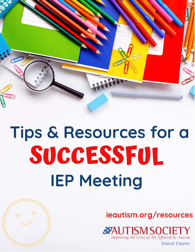

# Tips & Resources for a SUCCESSFUL **IEP Meeting**

ieautism.org/resources

**AND TISM SOCIET** Improving the Lives of All Affected by Autism

**Inland Empire**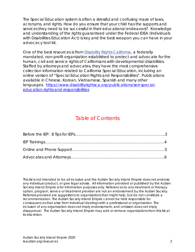The Special Education system is often a stressful and confusing maze of laws, acronyms, and rights. How do you ensure that your child has the supports and services they need to be successful in their educational endeavors? Knowledge and understanding of the rights guaranteed under the Federal IDEA (Individuals with Disabilities Education Act) is key and the best weapon you can have in your advocacy tool kit.

One of the best resources is from **Disability Rights California**, a federally mandated, non-profit organization established to protect and advocate for the human, civil and service rights of Californians with developmental disabilities. Staffed by attorneys and advocates, they have the most comprehensive collection information related to California Special Education, including an online version of "Special Education Rights and Responsibilities". Publications available in Chinese, Korean, Vietnamese, Spanish and many other languages. [https://www.disabilityrightsca.org/publications/serr-special](https://www.disabilityrightsca.org/publications/serr-special-education-rights-and-responsibilities)[education-rights-and-responsibilities](https://www.disabilityrightsca.org/publications/serr-special-education-rights-and-responsibilities)

#### Table of Contents

This list is not intended to be all inclusive and the Autism Society Inland Empire does not endorse any individual product, or give legal advise. All information provided or published by the Autism Society Inland Empire is for information purposes only. References to any treatment or therapy option, program, service or treatment provider are not an endorsement by the Autism Society. Referrals provided are suggestions to organizations that might help, but do not constitute a recommendation. The Autism Society Inland Empire cannot be held responsible for consequences that arise from individual dealings with a professional or organization. The inclusion of any organization does not imply endorsement, and omission does not imply disapproval. The Autism Society Inland Empire may add or remove organizations from this list at its discretion.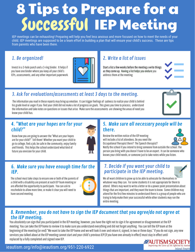# 8 Tips to Prepare for a<br>Successful IEP Meeting

IEP meetings can be exhausting! Preparing will help you feel less anxious and more focused on how to meet the needs of your child. IEP meetings are supposed to be a team effort in building a plan that will ensure your child's success. These are tips from parents who have been there.

#### 1. Be organized!

Invest in a 3-hole punch and a 3-ring binder. It helps if you have one binder where you keep all your child's IEPs, assessments, and any other important paperwork.



#### 2. Write a list of issues

Start a list a few weeks before the meeting a write things as they come up. Having a list helps you endure you address them at the meeting.

#### 3. Ask for evaluations/assessments at least 3 days to the meeting.

The information you read in these reports may bring up emotion. It can trigger feelings of sadness to realize your child is behind his grade level or anger if you find your child did not make a lot of progress on goals. This gives you time to process, understand the information and take notes on questions or issues that arise. Make sure the assessments are showing the areas of need you know your child has.

#### 4. "What are your hopes are for your child?"

Know how you are going to answer the "What are your hopes are for your child?" Tell them! Whether you want your child to go to college, find a job, be safe in the community, enjoy family and friends. This helps the school understand what kind of future you envision for your child.



#### 5. Make sure all necessary people will be there.

Review the written notice of the IEP meeting will include a list of attendees. Do you need the Occupational Therapist there? The Speech therapist?



Notify the school if you intend to bring someone from outside the school. The person you bring with you doesn't have to be an expert. It can be someone who knows your child needs, or someone just to take notes while you listen.

#### 6. Make sure you have enough time for the IEP.

The school must take steps to ensure one or both of the parents of a child with a disability are present at each IEP Team meeting or are afforded the opportunity to participate. You can ask to reschedule to allow more time, or make it clear you will need to have second meeting.



# 7. Decide if you want your child to<br>participate in the IEP meeting.



We all want children to grow up to be able to advocate for themselves in whatever way they can. For some students it is not appropriate for them to attend. Others may want to write a letter or do a power point presentation about things that are important, and they want the team to know. Some children may attend for the first few minutes to understand there is a group of people who are trying to help make their year successful while other students may run the entire meeting.

#### 8. Remember, you do not have to sign the IEP document that you agree/do not agree at the IEP meeting.

You absolutely can sign that you participated in the IEP meeting, however, you have the right not to sign it for agreement or disagreement at the IEP meeting. You can take the IEP home to review it to make sure you understand everything and did not forget anything. You can tell the IEP team at the beginning of the meeting (or end) "We want to take the IEP home and we will look it over and return it, signed, in two or three days." If you do not sign, any new services you talked about at the IEP meeting cannot start and your child's previous IEP (if you have one already in effect) must stay in effect until replaced by a fully completed and signed new IEP.

#### ieautism.org/info@ieautism.org/951-220-6922

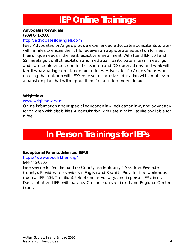# **IEP Online Trainings**

#### **Advocates for Angels**

(909) 841-2600

#### [http://advocatesforangels.com](http://advocatesforangels.com/)

Fee. Advocates for Angels provide experienced advocates/consultants to work with families to ensure their child receives an appropriate education to meet their unique needs in the least restrictive environment. Will attend IEP, 504 and SST meetings, conflict resolution and mediation, participate in team meetings and case conferences, conduct classroom and DIS observations, and work with families navigating compliance procedures. Advocates for Angels focuses on ensuring that children with IEP's receive an inclusive education with emphasis on a transition plan that will prepare them for an independent future.

#### **Wrightslaw**

#### [www.wrightslaw.com](http://www.wrightslaw.com/)

Online information about special education law, education law, and advocacy for children with disabilities. A consultation with Pete Wright, Esquire available for a fee.

# **In Person Trainings for IEPs**

#### **Exceptional Parents Unlimited (EPU)**

#### <https://www.epuchildren.org/>

#### 844-445-0305

Free service for San Bernardino County residents only (TASK does Riverside County). Provides free services in English and Spanish. Provides free workshops (such as IEP, 504, Transition); telephone advocacy, and in person IEP clinics. Does not attend IEPs with parents. Can help on special ed and Regional Center issues.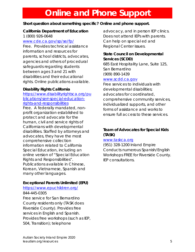## **Online and Phone Support**

#### **Short question about something specific? Online and phone support.**

#### **California Department of Education**

1 (800) 926-0648

#### [www.cde.ca.gov/sp/se/fp/](http://www.cde.ca.gov/sp/se/fp/)

Free. Provides technical assistance information and resources for parents, school districts, advocates, agencies and others of procedural safeguards regarding students between ages 3 and 21 with disabilities and their educational rights. Online publications available.

#### **Disability Rights California**

[https://www.disabilityrightsca.org/pu](https://www.disabilityrightsca.org/publications/serr-special-education-rights-and-responsibilities) [blications/serr-special-education](https://www.disabilityrightsca.org/publications/serr-special-education-rights-and-responsibilities)[rights-and-responsibilities](https://www.disabilityrightsca.org/publications/serr-special-education-rights-and-responsibilities) Free. A federally mandated, nonprofit organization established to protect and advocate for the human, civil and service rights of Californians with developmental disabilities. Staffed by attorneys and advocates, they have the most comprehensive collection information related to California Special Education, including an online version of "Special Education Rights and Responsibilities". Publications available in Chinese, Korean, Vietnamese, Spanish and many other languages.

#### **Exceptional Parents Unlimited (EPU)**

#### <https://www.epuchildren.org/> 844-445-0305

Free service for San Bernardino County residents only (TASK does Riverside County). Provides free services in English and Spanish. Provides free workshops (such as IEP, 504, Transition); telephone

advocacy, and in person IEP clinics. Does not attend IEPs with parents. Can help on special ed and Regional Center issues.

#### **State Council on Developmental Services (SCDD)**

685 East Hospitality Lane, Suite 125, San Bernardino (909) 890-1439

#### [www.scdd.ca.gov](http://www.scdd.ca.gov/)

Free services to individuals with developmental disabilities; advocates for coordinated, comprehensive community services, individualized supports, and other forms of assistance and works to ensure full access to these services.

#### **Team of Advocates for Special Kids (TASK)**

#### [www.taskca.org](http://www.taskca.org/)

(951) 328-1200 Inland Empire Conducts numerous Spanish/English Workshops FREE for Riverside County. IEP consultations.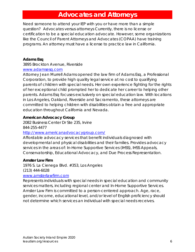### **Advocates and Attorneys**

Need someone to attend your IEP with you or have more than a simple question? Advocates versus attorneys Currently, there is no license or certification to be a special education advocate. However, some organizations like the Council of Parent Attorneys and Advocates (COPAA) have training programs. An attorney must have a license to practice law in California.

#### **Adams Esq**

#### 3895 Brockton Avenue, Riverside [www.adamsesq.com](http://www.adamsesq.com/)

Attorney Jean Murrell Adams opened the law firm of Adams Esq, a Professional Corporation, to provide high quality legal service at no cost to qualifying parents of children with special needs. Her own experience fighting for the rights of her exceptional child prompted her to dedicate her career to helping other parents. Adams Esq focuses exclusively on special education law. With locations in Los Angeles, Oakland, Riverside and Sacramento, these attorneys are committed to helping children with disabilities obtain a free and appropriate education throughout California and Nevada.

#### **American Advocacy Group**

2082 Business Center Dr Ste 235, Irvine 844-255-4477

#### <http://www.americanadvocacygroup.com/>

Affordable advocacy services that benefit individuals diagnosed with developmental and physical disabilities and their families. Provides advocacy services in the areas of: In-Home Supportive Services (IHSS), IHSS Appeals, Conservatorship, Educational Advocacy, and Due Process Representation.

#### **Amster Law Firm**

1976 S. La Cienega Blvd. #353, Los Angeles (213) 444-6028

#### [www.amsterlawfirm.com](http://www.amsterlawfirm.com/)

Represents individuals with special needs in special education and community services matters, including regional center and In-Home Supportive Services. Amster Law Firm is committed to a person-centered approach. Age, race, gender, income, educational level, and/or level of English proficiency should not determine which services an individual with special needs receives.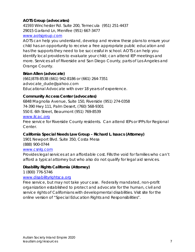#### **AOTS Group (advocates)**

41593 Winchester Rd. Suite 200, Temecula (951) 251-4437 29015 Garland Ln, Menifee (951) 667-3477

#### [www.aotsgroup.com](http://www.aotsgroup.com/)

AOTS can help you understand, develop and review these plans to ensure your child has an opportunity to receive a free appropriate public education and has the supports they need to be successful in school. AOTS can help you identify local providers to evaluate your child; can attend IEP meetings and more. Services all of Riverside and San Diego County, parts of Los Angeles and Orange County.

#### **Brian Allen (advocate)**

(661)878-8538 (661) 942-8186 or (661) 264-7351 advocate\_dude@yahoo.com Educational Advocate with over 18 years of experience.

#### **Community Access Center (advocates)**

6848 Magnolia Avenue, Suite 150, Riverside (951) 274-0358 74-390 Hwy 111, Palm Desert, (760) 568-9301 550 E. 6th Street, Beaumont (951) 769-8539 [www.ilcac.org](http://www.ilcac.org/) Free service for Riverside County residents. Can attend IEPs or IPPs for Regional

Center.

#### **California Special Needs Law Group – Richard L. Isaacs (Attorney)**

1901 Newport Blvd. Suite 350, Costa Mesa (888) 900-0744

#### [www.csnlg.com](http://www.csnlg.com/)

Provides legal services at an affordable cost. Fills the void for families who can't afford a typical attorney but who also do not qualify for legal aid services.

#### **Disability Rights California (Attorney)**

1 (800) 776-5746

#### [www.disabilityrightsca.org](http://www.disabilityrightsca.org/)

Free service, but may not take your case. Federally mandated, non-profit organization established to protect and advocate for the human, civil and service rights of Californians with developmental disabilities. Visit site for the online version of "Special Education Rights and Responsibilities".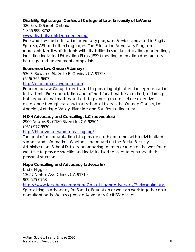#### **Disability Rights Legal Center, at College of Law, University of LaVerne**

320 East D Street, Ontario

1-866-999-3752

#### [www.disabilityrightslegalcenter.org](http://www.disabilityrightslegalcenter.org/)

Free and low-cost education advocacy program. Services provided in English, Spanish, ASL and other languages. The Education Advocacy Program represents families of students with disabilities in special education proceedings, including Individual Education Plans (IEP's) meeting, mediation due process hearings, and government complaints.

#### **Economou Law Group (Attorney)**

536 E. Rowland St., Suite B, Covina, CA 91723 (626) 765-9607

#### [http://economoulawgroup.com](http://economoulawgroup.com/)

Economou Law Group is dedicated to providing high attention representation to its clients. Free consultations are offered for all matters handled, including both educational matters and estate planning matters. Have extensive experience through cases with all school districts in the Orange County, Los Angeles, Antelope Valley, Riverside and San Bernardino areas.

#### **H & H Advocacy and Consulting, LLC (advocates)**

2900 Adams St. C180 Riverside, CA 92504 (951) 977-9530

#### <http://hhadvocacyandconsulting.org/>

The goal of our organization is to provide each consumer with individualized support and information. Whether it be regarding the Social Security Administration, School Districts, or preparing to enter or re-enter the workforce, we strive to provide specific and individualized services to enhance their personal situation.

#### **Hope Consulting and Advocacy (advocate)**

Linda Higgins 13657 Norton Ave Chino, CA 91710 909-525-0763

<https://www.facebook.com/HopeConsultingandAdvocacy/?ref=bookmarks> Specializing in Advocacy for Special Education or we can work together on a consultant basis. We also provide Advocacy for IHSS services.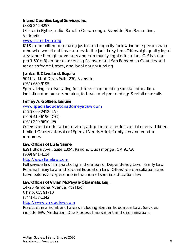#### **Inland Counties Legal Services Inc.**

(888) 245-4257

Offices in Blythe, Indio, Rancho Cucamonga, Riverside, San Bernardino, Victorville

#### [www.inlandlegal.org](http://www.inlandlegal.org/)

ICLS is committed to securing justice and equality for low-income persons who otherwise would not have access to the judicial system. Offers high quality legal assistance through advocacy and community legal education. ICLS is a nonprofit 501c(3) corporation serving Riverside and San Bernardino Counties and receives federal, state, and local county funding.

#### **Janice S. Cleveland, Esquire**

5041 La Mart Drive, Suite 230, Riverside (951) 680-9195 Specializing in advocating for children in or needing special education, including due process hearing, federal court proceedings & retaliation suits.

#### **Jeffrey A. Gottlieb, Esquire**

[www.specialeducationattorneyatlaw.com](http://www.specialeducationattorneyatlaw.com/)

(562) 699-2412 (LA) (949) 419-6196 (OC) (951) 240-5610 (IE)

Offers special education services, adoption services for special needs children, Limited Conservatorship of Special Needs Adult, family law and vendor resources.

#### **Law Offices of Liu & Naime**

8291 Utica Ave., Suite 100A, Rancho Cucamonga, CA 91730 (909) 941-4114

#### [http://socalfamlaw.com](http://socalfamlaw.com/)

Full-service law firm practicing in the areas of Dependency Law, Family Law Personal Injury Law and Special Education Law. Offers free consultations and have extensive experience in the area of special education law

#### **Law Offices of Vivian McPayah-Obiamalu, Esq.,**

14726 Ramona Avenue, 4th Floor Chino, CA 91710 (844) 433-1242 [http://www.vmcpolaw.com](http://www.vmcpolaw.com/legal-services-special-education)

Practices in a number of areas including Special Education Law. Services include IEPs, Mediation, Due Process, harassment and discrimination.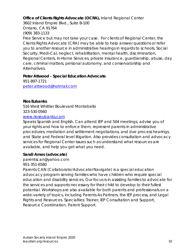#### **Office of Clients Rights Advocate (OCRA),** Inland Regional Center

3602 Inland Empire Blvd., Suite B-100 Ontario, CA 91764

(909) 383-1133

Free Service but may not take your case. For clients of Regional Center, the Clients Rights Advocate (CRA) may be able to help answer questions or refer you to another resource in administrative hearings in regards to schools, Social Security, Medi-Cal, neglect, rehabilitation, mental health, discrimination, Regional Centers, In-Home Services, private insurance, guardianship, abuse, day care, criminal matters, personal autonomy, and conservatorship and Alternatives.

#### **Peter Attwood - Special Education Advocate**

951-897-1721 [peter.attwood@hotmail.com](mailto:peter.attwood@hotmail.com)

**Rios Eubanks**

516 West Whittier Boulevard Montebello

323-530-0560

#### [www.rioseubanks.com](https://www.rioseubanks.com/)

Speaks Spanish and English. Can attend IEP and 504 meetings, advise you of your rights and how to enforce them, represent parents in administrative procedures, mediation and settlement negotiations, and due process hearings. and State and Federal level litigation. Also provides consultation and advocacy services for Regional Center issues such as understand what resources are available, and help you get what you need.

#### **Sandi Ames (advocate)**

parentscan@yahoo.com 951-351-6580

Parents CAN (Collaborate/Advocate/Navigate) is a special education advocacy program serving families who have children who require special education and disability services. Our focus is in assisting families to advocate for the services and supports necessary for their child to develop to their fullest potential. Workshops are also available for both parents and professionals on a wide-variety of topics, including Parents As Partners, the IEP process, and Legal Rights and Resources. Specialties: Trainer, IEP Consultation and Support, Resource Coordination, Parent Support.